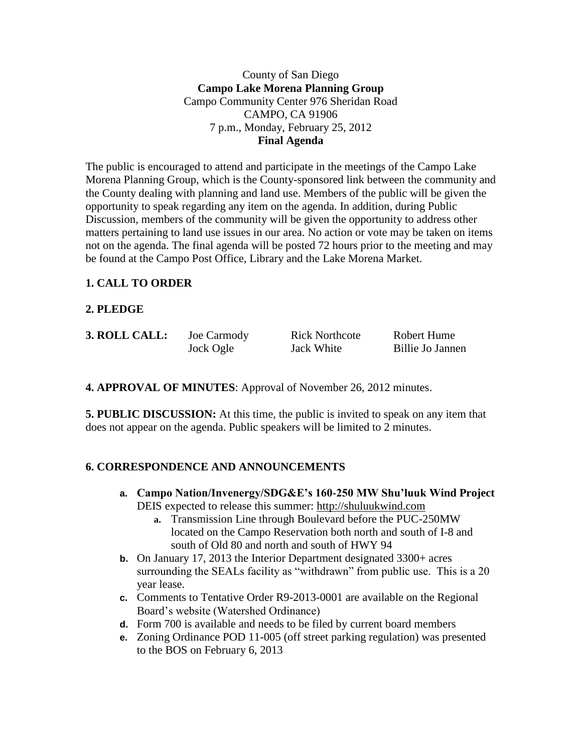County of San Diego **Campo Lake Morena Planning Group** Campo Community Center 976 Sheridan Road CAMPO, CA 91906 7 p.m., Monday, February 25, 2012 **Final Agenda**

The public is encouraged to attend and participate in the meetings of the Campo Lake Morena Planning Group, which is the County-sponsored link between the community and the County dealing with planning and land use. Members of the public will be given the opportunity to speak regarding any item on the agenda. In addition, during Public Discussion, members of the community will be given the opportunity to address other matters pertaining to land use issues in our area. No action or vote may be taken on items not on the agenda. The final agenda will be posted 72 hours prior to the meeting and may be found at the Campo Post Office, Library and the Lake Morena Market.

#### **1. CALL TO ORDER**

#### **2. PLEDGE**

| 3. ROLL CALL: | Joe Carmody | <b>Rick Northcote</b> | Robert Hume      |
|---------------|-------------|-----------------------|------------------|
|               | Jock Ogle   | Jack White            | Billie Jo Jannen |

**4. APPROVAL OF MINUTES**: Approval of November 26, 2012 minutes.

**5. PUBLIC DISCUSSION:** At this time, the public is invited to speak on any item that does not appear on the agenda. Public speakers will be limited to 2 minutes.

#### **6. CORRESPONDENCE AND ANNOUNCEMENTS**

- **a. Campo Nation/Invenergy/SDG&E's 160-250 MW Shu'luuk Wind Project** DEIS expected to release this summer: [http://shuluukwind.com](http://shuluukwind.com/)
	- **a.** Transmission Line through Boulevard before the PUC-250MW located on the Campo Reservation both north and south of I-8 and south of Old 80 and north and south of HWY 94
- **b.** On January 17, 2013 the Interior Department designated 3300+ acres surrounding the SEALs facility as "withdrawn" from public use. This is a 20 year lease.
- **c.** Comments to Tentative Order R9-2013-0001 are available on the Regional Board's website (Watershed Ordinance)
- **d.** Form 700 is available and needs to be filed by current board members
- **e.** Zoning Ordinance POD 11-005 (off street parking regulation) was presented to the BOS on February 6, 2013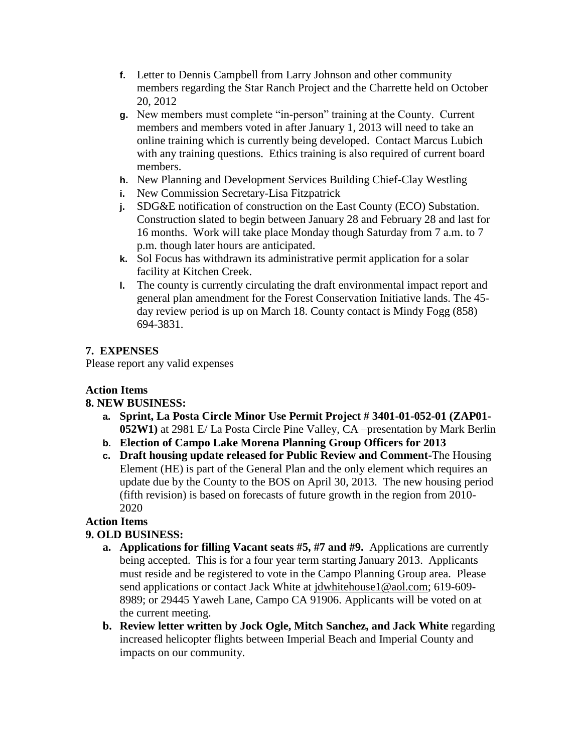- **f.** Letter to Dennis Campbell from Larry Johnson and other community members regarding the Star Ranch Project and the Charrette held on October 20, 2012
- **g.** New members must complete "in-person" training at the County. Current members and members voted in after January 1, 2013 will need to take an online training which is currently being developed. Contact Marcus Lubich with any training questions. Ethics training is also required of current board members.
- **h.** New Planning and Development Services Building Chief-Clay Westling
- **i.** New Commission Secretary-Lisa Fitzpatrick
- **j.** SDG&E notification of construction on the East County (ECO) Substation. Construction slated to begin between January 28 and February 28 and last for 16 months. Work will take place Monday though Saturday from 7 a.m. to 7 p.m. though later hours are anticipated.
- **k.** Sol Focus has withdrawn its administrative permit application for a solar facility at Kitchen Creek.
- **l.** The county is currently circulating the draft environmental impact report and general plan amendment for the Forest Conservation Initiative lands. The 45 day review period is up on March 18. County contact is Mindy Fogg (858) 694-3831.

## **7. EXPENSES**

Please report any valid expenses

## **Action Items**

## **8. NEW BUSINESS:**

- **a. Sprint, La Posta Circle Minor Use Permit Project # 3401-01-052-01 (ZAP01- 052W1)** at 2981 E/ La Posta Circle Pine Valley, CA –presentation by Mark Berlin
- **b. Election of Campo Lake Morena Planning Group Officers for 2013**
- **c. Draft housing update released for Public Review and Comment-**The Housing Element (HE) is part of the General Plan and the only element which requires an update due by the County to the BOS on April 30, 2013. The new housing period (fifth revision) is based on forecasts of future growth in the region from 2010- 2020

## **Action Items**

## **9. OLD BUSINESS:**

- **a. Applications for filling Vacant seats #5, #7 and #9.** Applications are currently being accepted. This is for a four year term starting January 2013. Applicants must reside and be registered to vote in the Campo Planning Group area. Please send applications or contact Jack White at [jdwhitehouse1@aol.com;](mailto:jdwhitehouse1@aol.com) 619-609-8989; or 29445 Yaweh Lane, Campo CA 91906. Applicants will be voted on at the current meeting.
- **b. Review letter written by Jock Ogle, Mitch Sanchez, and Jack White** regarding increased helicopter flights between Imperial Beach and Imperial County and impacts on our community.